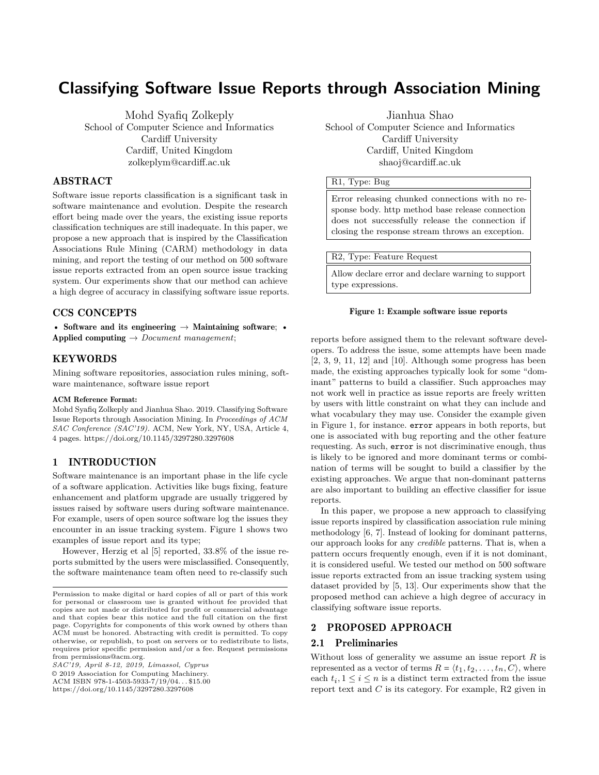# **Classifying Software Issue Reports through Association Mining**

Mohd Syafiq Zolkeply School of Computer Science and Informatics Cardiff University Cardiff, United Kingdom zolkeplym@cardiff.ac.uk

# ABSTRACT

Software issue reports classification is a significant task in software maintenance and evolution. Despite the research effort being made over the years, the existing issue reports classification techniques are still inadequate. In this paper, we propose a new approach that is inspired by the Classification Associations Rule Mining (CARM) methodology in data mining, and report the testing of our method on 500 software issue reports extracted from an open source issue tracking system. Our experiments show that our method can achieve a high degree of accuracy in classifying software issue reports.

# CCS CONCEPTS

• Software and its engineering  $\rightarrow$  Maintaining software; • Applied computing → *Document management*;

# KEYWORDS

Mining software repositories, association rules mining, software maintenance, software issue report

#### ACM Reference Format:

Mohd Syafiq Zolkeply and Jianhua Shao. 2019. Classifying Software Issue Reports through Association Mining. In *Proceedings of ACM SAC Conference (SAC'19).* ACM, New York, NY, USA, Article 4, [4](#page-3-0) pages.<https://doi.org/10.1145/3297280.3297608>

# 1 INTRODUCTION

Software maintenance is an important phase in the life cycle of a software application. Activities like bugs fixing, feature enhancement and platform upgrade are usually triggered by issues raised by software users during software maintenance. For example, users of open source software log the issues they encounter in an issue tracking system. Figure [1](#page-0-0) shows two examples of issue report and its type;

However, Herzig et al [\[5\]](#page-3-1) reported, 33.8% of the issue reports submitted by the users were misclassified. Consequently, the software maintenance team often need to re-classify such

*SAC'19, April 8-12, 2019, Limassol, Cyprus*

© 2019 Association for Computing Machinery.

ACM ISBN 978-1-4503-5933-7/19/04. . . \$15.00

<https://doi.org/10.1145/3297280.3297608>

Jianhua Shao School of Computer Science and Informatics Cardiff University Cardiff, United Kingdom shaoj@cardiff.ac.uk

# <span id="page-0-0"></span>R1, Type: Bug

Error releasing chunked connections with no response body. http method base release connection does not successfully release the connection if closing the response stream throws an exception.

# R2, Type: Feature Request

Allow declare error and declare warning to support type expressions.

#### Figure 1: Example software issue reports

reports before assigned them to the relevant software developers. To address the issue, some attempts have been made [\[2,](#page-3-2) [3,](#page-3-3) [9,](#page-3-4) [11,](#page-3-5) [12\]](#page-3-6) and [\[10\]](#page-3-7). Although some progress has been made, the existing approaches typically look for some "dominant" patterns to build a classifier. Such approaches may not work well in practice as issue reports are freely written by users with little constraint on what they can include and what vocabulary they may use. Consider the example given in Figure [1,](#page-0-0) for instance. error appears in both reports, but one is associated with bug reporting and the other feature requesting. As such, error is not discriminative enough, thus is likely to be ignored and more dominant terms or combination of terms will be sought to build a classifier by the existing approaches. We argue that non-dominant patterns are also important to building an effective classifier for issue reports.

In this paper, we propose a new approach to classifying issue reports inspired by classification association rule mining methodology [\[6,](#page-3-8) [7\]](#page-3-9). Instead of looking for dominant patterns, our approach looks for any *credible* patterns. That is, when a pattern occurs frequently enough, even if it is not dominant, it is considered useful. We tested our method on 500 software issue reports extracted from an issue tracking system using dataset provided by [\[5,](#page-3-1) [13\]](#page-3-10). Our experiments show that the proposed method can achieve a high degree of accuracy in classifying software issue reports.

#### 2 PROPOSED APPROACH

#### 2.1 Preliminaries

Without loss of generality we assume an issue report  $R$  is represented as a vector of terms  $R = \langle t_1, t_2, \ldots, t_n, C \rangle$ , where each  $t_i, 1 \leq i \leq n$  is a distinct term extracted from the issue report text and  $C$  is its category. For example, R2 given in

Permission to make digital or hard copies of all or part of this work for personal or classroom use is granted without fee provided that copies are not made or distributed for profit or commercial advantage and that copies bear this notice and the full citation on the first page. Copyrights for components of this work owned by others than ACM must be honored. Abstracting with credit is permitted. To copy otherwise, or republish, to post on servers or to redistribute to lists, requires prior specific permission and/or a fee. Request permissions from permissions@acm.org.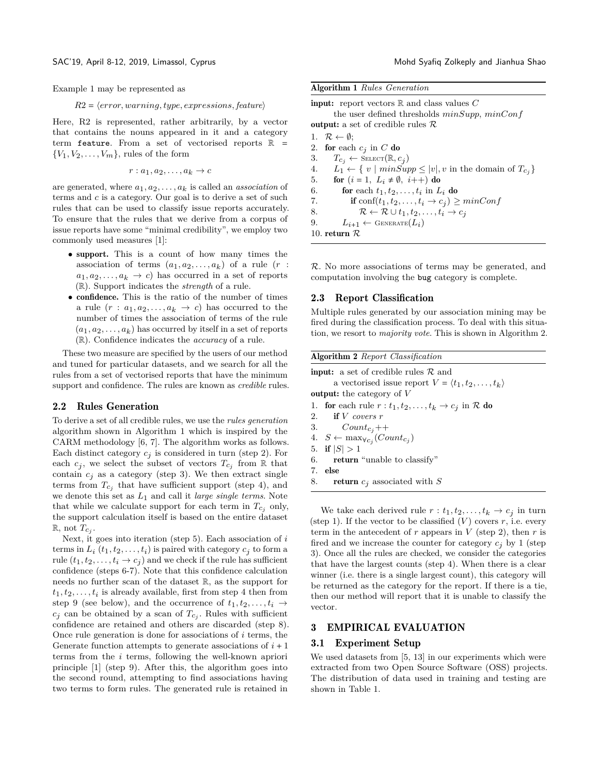Example [1](#page-0-0) may be represented as

 $R2 = \langle error, warning, type, expressions, feature \rangle$ 

Here, R2 is represented, rather arbitrarily, by a vector that contains the nouns appeared in it and a category term feature. From a set of vectorised reports  $\mathbb{R}$  =  $\{V_1, V_2, \ldots, V_m\}$ , rules of the form

$$
r: a_1, a_2, \ldots, a_k \to c
$$

are generated, where  $a_1, a_2, \ldots, a_k$  is called an *association* of terms and  $c$  is a category. Our goal is to derive a set of such rules that can be used to classify issue reports accurately. To ensure that the rules that we derive from a corpus of issue reports have some "minimal credibility", we employ two commonly used measures [\[1\]](#page-3-11):

- ∙ support. This is a count of how many times the association of terms  $(a_1, a_2, \ldots, a_k)$  of a rule  $(r :$  $a_1, a_2, \ldots, a_k \rightarrow c$  has occurred in a set of reports (R). Support indicates the *strength* of a rule.
- ∙ confidence. This is the ratio of the number of times a rule  $(r : a_1, a_2, \ldots, a_k \rightarrow c)$  has occurred to the number of times the association of terms of the rule  $(a_1, a_2, \ldots, a_k)$  has occurred by itself in a set of reports (R). Confidence indicates the *accuracy* of a rule.

These two measure are specified by the users of our method and tuned for particular datasets, and we search for all the rules from a set of vectorised reports that have the minimum support and confidence. The rules are known as *credible* rules.

#### 2.2 Rules Generation

To derive a set of all credible rules, we use the *rules generation* algorithm shown in Algorithm [1](#page-1-0) which is inspired by the CARM methodology [\[6,](#page-3-8) [7\]](#page-3-9). The algorithm works as follows. Each distinct category  $c_j$  is considered in turn (step 2). For each  $c_j$ , we select the subset of vectors  $T_{c_j}$  from R that contain  $c_i$  as a category (step 3). We then extract single terms from  $T_{c_j}$  that have sufficient support (step 4), and we denote this set as  $L_1$  and call it *large single terms*. Note that while we calculate support for each term in  $T_{c_i}$  only, the support calculation itself is based on the entire dataset  $\mathbb{R}$ , not  $T_{c_j}$ .

Next, it goes into iteration (step 5). Each association of  $i$ terms in  $L_i$   $(t_1, t_2, \ldots, t_i)$  is paired with category  $c_i$  to form a rule  $(t_1, t_2, \ldots, t_i \rightarrow c_j)$  and we check if the rule has sufficient confidence (steps 6-7). Note that this confidence calculation needs no further scan of the dataset R, as the support for  $t_1, t_2, \ldots, t_i$  is already available, first from step 4 then from step 9 (see below), and the occurrence of  $t_1, t_2, \ldots, t_i \rightarrow$  $c_j$  can be obtained by a scan of  $T_{c_j}$ . Rules with sufficient confidence are retained and others are discarded (step 8). Once rule generation is done for associations of  $i$  terms, the Generate function attempts to generate associations of  $i+1$ terms from the  $i$  terms, following the well-known apriori principle [\[1\]](#page-3-11) (step 9). After this, the algorithm goes into the second round, attempting to find associations having two terms to form rules. The generated rule is retained in

<span id="page-1-0"></span>

|  |  |  | <b>Algorithm 1</b> Rules Generation |
|--|--|--|-------------------------------------|
|--|--|--|-------------------------------------|

| <b>input:</b> report vectors $\mathbb R$ and class values C                            |  |  |  |  |  |  |
|----------------------------------------------------------------------------------------|--|--|--|--|--|--|
| the user defined thresholds $minSupp, minConf$                                         |  |  |  |  |  |  |
| output: a set of credible rules $\mathcal{R}$                                          |  |  |  |  |  |  |
| 1. $\mathcal{R} \leftarrow \emptyset$ :                                                |  |  |  |  |  |  |
| 2. for each $c_i$ in C do                                                              |  |  |  |  |  |  |
| 3. $T_{c_i} \leftarrow \text{SELECT}(\mathbb{R}, c_i)$                                 |  |  |  |  |  |  |
| 4. $L_1 \leftarrow \{ v \mid minSupp \leq  v , v \text{ in the domain of } T_{c_j} \}$ |  |  |  |  |  |  |
| for $(i = 1, L_i \neq \emptyset, i++)$ do<br>5.                                        |  |  |  |  |  |  |
| for each $t_1, t_2, \ldots, t_i$ in $L_i$ do<br>6.                                     |  |  |  |  |  |  |
| if conf $(t_1, t_2, \ldots, t_i \rightarrow c_i) \geq minConf$<br>7.                   |  |  |  |  |  |  |
| $\mathcal{R} \leftarrow \mathcal{R} \cup t_1, t_2, \ldots, t_i \rightarrow c_i$<br>8.  |  |  |  |  |  |  |
| $L_{i+1} \leftarrow \text{GENERALE}(L_i)$<br>9.                                        |  |  |  |  |  |  |
| 10. return $\mathcal R$                                                                |  |  |  |  |  |  |

R. No more associations of terms may be generated, and computation involving the bug category is complete.

## 2.3 Report Classification

Multiple rules generated by our association mining may be fired during the classification process. To deal with this situation, we resort to *majority vote*. This is shown in Algorithm [2.](#page-1-1)

<span id="page-1-1"></span>

| <b>Algorithm 2</b> Report Classification                                                                                         |  |  |  |  |  |
|----------------------------------------------------------------------------------------------------------------------------------|--|--|--|--|--|
| <b>input:</b> a set of credible rules $\mathcal{R}$ and<br>a vectorised issue report $V = \langle t_1, t_2, \ldots, t_k \rangle$ |  |  |  |  |  |
| output: the category of $V$                                                                                                      |  |  |  |  |  |
| 1. for each rule $r: t_1, t_2, \ldots, t_k \rightarrow c_i$ in R do                                                              |  |  |  |  |  |
| 2. if V covers $r$                                                                                                               |  |  |  |  |  |
| 3. $Count_{c_i}$ ++                                                                                                              |  |  |  |  |  |
| 4. $S \leftarrow \max_{c_i}(Count_{c_i})$                                                                                        |  |  |  |  |  |
| 5. if $ S  > 1$                                                                                                                  |  |  |  |  |  |
| 6. return "unable to classify"                                                                                                   |  |  |  |  |  |
| 7. else                                                                                                                          |  |  |  |  |  |
| 8. <b>return</b> $c_i$ associated with S                                                                                         |  |  |  |  |  |

We take each derived rule  $r : t_1, t_2, \ldots, t_k \to c_j$  in turn (step 1). If the vector to be classified  $(V)$  covers r, i.e. every term in the antecedent of  $r$  appears in  $V$  (step 2), then  $r$  is fired and we increase the counter for category  $c_j$  by 1 (step 3). Once all the rules are checked, we consider the categories that have the largest counts (step 4). When there is a clear winner (i.e. there is a single largest count), this category will be returned as the category for the report. If there is a tie, then our method will report that it is unable to classify the vector.

#### 3 EMPIRICAL EVALUATION

#### 3.1 Experiment Setup

We used datasets from [\[5,](#page-3-1) [13\]](#page-3-10) in our experiments which were extracted from two Open Source Software (OSS) projects. The distribution of data used in training and testing are shown in Table [1.](#page-2-0)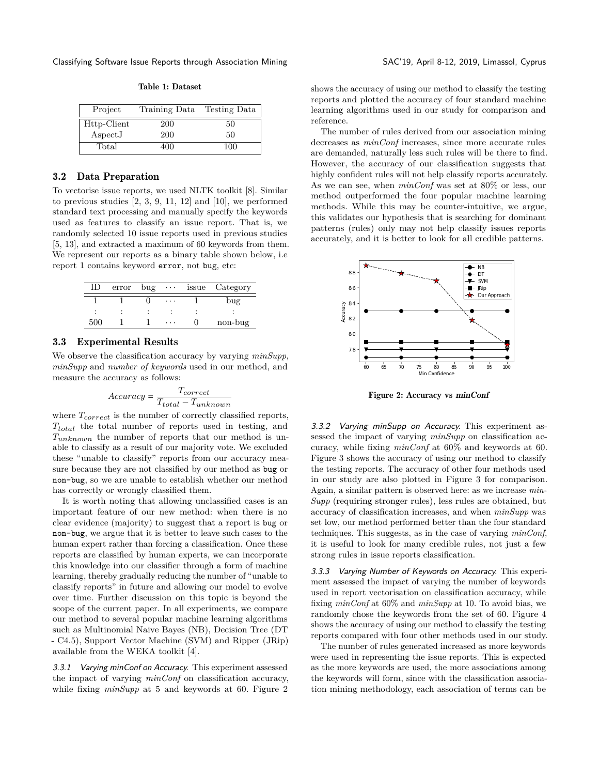<span id="page-2-0"></span>Table 1: Dataset

# 3.2 Data Preparation

To vectorise issue reports, we used NLTK toolkit [\[8\]](#page-3-12). Similar to previous studies [\[2,](#page-3-2) [3,](#page-3-3) [9,](#page-3-4) [11,](#page-3-5) [12\]](#page-3-6) and [\[10\]](#page-3-7), we performed standard text processing and manually specify the keywords used as features to classify an issue report. That is, we randomly selected 10 issue reports used in previous studies [\[5,](#page-3-1) [13\]](#page-3-10), and extracted a maximum of 60 keywords from them. We represent our reports as a binary table shown below, i.e report 1 contains keyword error, not bug, etc:

| ΙD  | error bug | $\cdots$ | issue Category |
|-----|-----------|----------|----------------|
|     |           | .        | bug            |
|     |           |          |                |
| 500 |           | $\cdot$  | non-bug        |

# 3.3 Experimental Results

We observe the classification accuracy by varying *minSupp*, *minSupp* and *number of keywords* used in our method, and measure the accuracy as follows:

$$
Accuracy = \frac{T_{correct}}{T_{total} - T_{unknown}}
$$

where  $T_{correct}$  is the number of correctly classified reports,  $T_{total}$  the total number of reports used in testing, and  $T_{unknown}$  the number of reports that our method is unable to classify as a result of our majority vote. We excluded these "unable to classify" reports from our accuracy measure because they are not classified by our method as bug or non-bug, so we are unable to establish whether our method has correctly or wrongly classified them.

It is worth noting that allowing unclassified cases is an important feature of our new method: when there is no clear evidence (majority) to suggest that a report is bug or non-bug, we argue that it is better to leave such cases to the human expert rather than forcing a classification. Once these reports are classified by human experts, we can incorporate this knowledge into our classifier through a form of machine learning, thereby gradually reducing the number of "unable to classify reports" in future and allowing our model to evolve over time. Further discussion on this topic is beyond the scope of the current paper. In all experiments, we compare our method to several popular machine learning algorithms such as Multinomial Naive Bayes (NB), Decision Tree (DT - C4.5), Support Vector Machine (SVM) and Ripper (JRip) available from the WEKA toolkit [\[4\]](#page-3-13).

3.3.1 Varying minConf on Accuracy. This experiment assessed the impact of varying *minConf* on classification accuracy, while fixing *minSupp* at 5 and keywords at 60. Figure [2](#page-2-1) shows the accuracy of using our method to classify the testing reports and plotted the accuracy of four standard machine learning algorithms used in our study for comparison and reference.

The number of rules derived from our association mining decreases as *minConf* increases, since more accurate rules are demanded, naturally less such rules will be there to find. However, the accuracy of our classification suggests that highly confident rules will not help classify reports accurately. As we can see, when *minConf* was set at 80% or less, our method outperformed the four popular machine learning methods. While this may be counter-intuitive, we argue, this validates our hypothesis that is searching for dominant patterns (rules) only may not help classify issues reports accurately, and it is better to look for all credible patterns.

<span id="page-2-1"></span>

Figure 2: Accuracy vs minConf

3.3.2 Varying minSupp on Accuracy. This experiment assessed the impact of varying *minSupp* on classification accuracy, while fixing *minConf* at 60% and keywords at 60. Figure [3](#page-3-14) shows the accuracy of using our method to classify the testing reports. The accuracy of other four methods used in our study are also plotted in Figure [3](#page-3-14) for comparison. Again, a similar pattern is observed here: as we increase *min-Supp* (requiring stronger rules), less rules are obtained, but accuracy of classification increases, and when *minSupp* was set low, our method performed better than the four standard techniques. This suggests, as in the case of varying *minConf*, it is useful to look for many credible rules, not just a few strong rules in issue reports classification.

3.3.3 Varying Number of Keywords on Accuracy. This experiment assessed the impact of varying the number of keywords used in report vectorisation on classification accuracy, while fixing *minConf* at 60% and *minSupp* at 10. To avoid bias, we randomly chose the keywords from the set of 60. Figure [4](#page-3-15) shows the accuracy of using our method to classify the testing reports compared with four other methods used in our study.

The number of rules generated increased as more keywords were used in representing the issue reports. This is expected as the more keywords are used, the more associations among the keywords will form, since with the classification association mining methodology, each association of terms can be